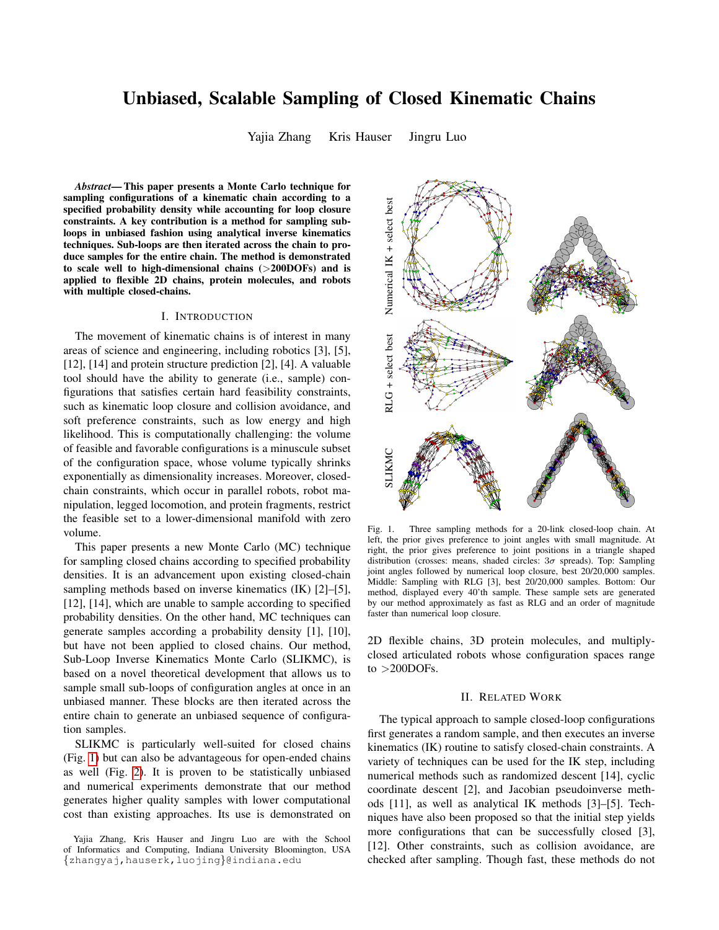# Unbiased, Scalable Sampling of Closed Kinematic Chains

Yajia Zhang Kris Hauser Jingru Luo

*Abstract*— This paper presents a Monte Carlo technique for sampling configurations of a kinematic chain according to a specified probability density while accounting for loop closure constraints. A key contribution is a method for sampling subloops in unbiased fashion using analytical inverse kinematics techniques. Sub-loops are then iterated across the chain to produce samples for the entire chain. The method is demonstrated to scale well to high-dimensional chains  $(>\!\!200\!\!DOFs)$  and is applied to flexible 2D chains, protein molecules, and robots with multiple closed-chains.

#### I. INTRODUCTION

The movement of kinematic chains is of interest in many areas of science and engineering, including robotics [3], [5], [12], [14] and protein structure prediction [2], [4]. A valuable tool should have the ability to generate (i.e., sample) configurations that satisfies certain hard feasibility constraints, such as kinematic loop closure and collision avoidance, and soft preference constraints, such as low energy and high likelihood. This is computationally challenging: the volume of feasible and favorable configurations is a minuscule subset of the configuration space, whose volume typically shrinks exponentially as dimensionality increases. Moreover, closedchain constraints, which occur in parallel robots, robot manipulation, legged locomotion, and protein fragments, restrict the feasible set to a lower-dimensional manifold with zero volume.

This paper presents a new Monte Carlo (MC) technique for sampling closed chains according to specified probability densities. It is an advancement upon existing closed-chain sampling methods based on inverse kinematics (IK) [2]–[5], [12], [14], which are unable to sample according to specified probability densities. On the other hand, MC techniques can generate samples according a probability density [1], [10], but have not been applied to closed chains. Our method, Sub-Loop Inverse Kinematics Monte Carlo (SLIKMC), is based on a novel theoretical development that allows us to sample small sub-loops of configuration angles at once in an unbiased manner. These blocks are then iterated across the entire chain to generate an unbiased sequence of configuration samples.

SLIKMC is particularly well-suited for closed chains (Fig. [1\)](#page-0-0) but can also be advantageous for open-ended chains as well (Fig. [2\)](#page-1-0). It is proven to be statistically unbiased and numerical experiments demonstrate that our method generates higher quality samples with lower computational cost than existing approaches. Its use is demonstrated on



<span id="page-0-0"></span>Fig. 1. Three sampling methods for a 20-link closed-loop chain. At left, the prior gives preference to joint angles with small magnitude. At right, the prior gives preference to joint positions in a triangle shaped distribution (crosses: means, shaded circles:  $3\sigma$  spreads). Top: Sampling joint angles followed by numerical loop closure, best 20/20,000 samples. Middle: Sampling with RLG [3], best 20/20,000 samples. Bottom: Our method, displayed every 40'th sample. These sample sets are generated by our method approximately as fast as RLG and an order of magnitude faster than numerical loop closure.

2D flexible chains, 3D protein molecules, and multiplyclosed articulated robots whose configuration spaces range to  $>$  200DOFs.

## II. RELATED WORK

The typical approach to sample closed-loop configurations first generates a random sample, and then executes an inverse kinematics (IK) routine to satisfy closed-chain constraints. A variety of techniques can be used for the IK step, including numerical methods such as randomized descent [14], cyclic coordinate descent [2], and Jacobian pseudoinverse methods [11], as well as analytical IK methods [3]–[5]. Techniques have also been proposed so that the initial step yields more configurations that can be successfully closed [3], [12]. Other constraints, such as collision avoidance, are checked after sampling. Though fast, these methods do not

Yajia Zhang, Kris Hauser and Jingru Luo are with the School of Informatics and Computing, Indiana University Bloomington, USA {zhangyaj,hauserk,luojing}@indiana.edu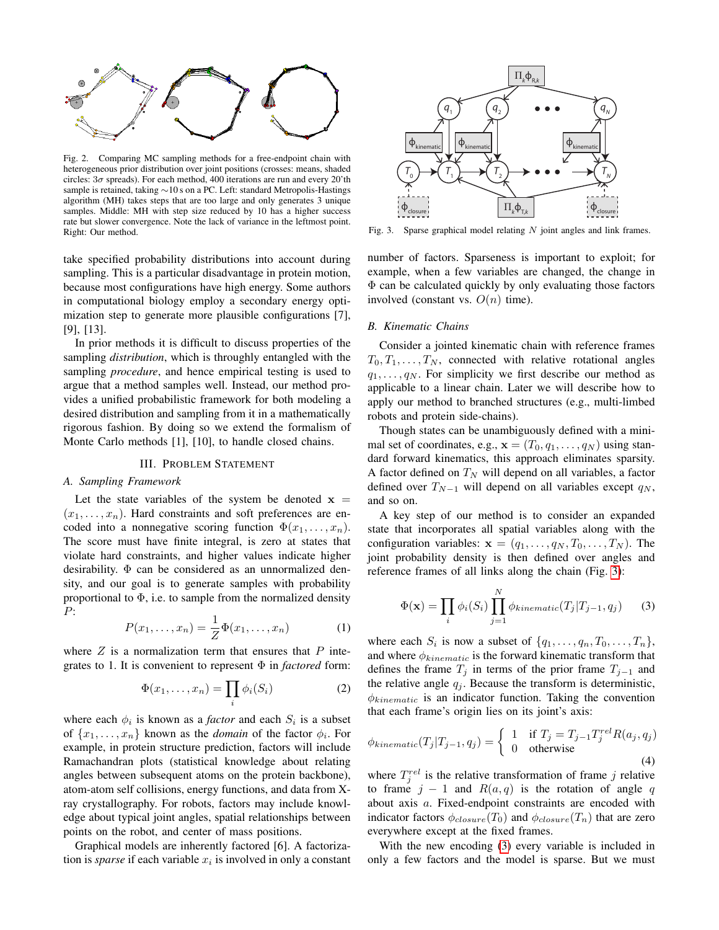

<span id="page-1-0"></span>Fig. 2. Comparing MC sampling methods for a free-endpoint chain with heterogeneous prior distribution over joint positions (crosses: means, shaded circles:  $3\sigma$  spreads). For each method, 400 iterations are run and every 20'th sample is retained, taking ∼10 s on a PC. Left: standard Metropolis-Hastings algorithm (MH) takes steps that are too large and only generates 3 unique samples. Middle: MH with step size reduced by 10 has a higher success rate but slower convergence. Note the lack of variance in the leftmost point. Right: Our method.

take specified probability distributions into account during sampling. This is a particular disadvantage in protein motion, because most configurations have high energy. Some authors in computational biology employ a secondary energy optimization step to generate more plausible configurations [7], [9], [13].

In prior methods it is difficult to discuss properties of the sampling *distribution*, which is throughly entangled with the sampling *procedure*, and hence empirical testing is used to argue that a method samples well. Instead, our method provides a unified probabilistic framework for both modeling a desired distribution and sampling from it in a mathematically rigorous fashion. By doing so we extend the formalism of Monte Carlo methods [1], [10], to handle closed chains.

## III. PROBLEM STATEMENT

## *A. Sampling Framework*

Let the state variables of the system be denoted  $x =$  $(x_1, \ldots, x_n)$ . Hard constraints and soft preferences are encoded into a nonnegative scoring function  $\Phi(x_1, \ldots, x_n)$ . The score must have finite integral, is zero at states that violate hard constraints, and higher values indicate higher desirability. Φ can be considered as an unnormalized density, and our goal is to generate samples with probability proportional to  $\Phi$ , i.e. to sample from the normalized density P:

<span id="page-1-3"></span>
$$
P(x_1,\ldots,x_n) = \frac{1}{Z}\Phi(x_1,\ldots,x_n)
$$
 (1)

where  $Z$  is a normalization term that ensures that  $P$  integrates to 1. It is convenient to represent Φ in *factored* form:

$$
\Phi(x_1,\ldots,x_n) = \prod_i \phi_i(S_i) \tag{2}
$$

where each  $\phi_i$  is known as a *factor* and each  $S_i$  is a subset of  $\{x_1, \ldots, x_n\}$  known as the *domain* of the factor  $\phi_i$ . For example, in protein structure prediction, factors will include Ramachandran plots (statistical knowledge about relating angles between subsequent atoms on the protein backbone), atom-atom self collisions, energy functions, and data from Xray crystallography. For robots, factors may include knowledge about typical joint angles, spatial relationships between points on the robot, and center of mass positions.

Graphical models are inherently factored [6]. A factorization is *sparse* if each variable  $x_i$  is involved in only a constant



<span id="page-1-1"></span>Fig. 3. Sparse graphical model relating  $N$  joint angles and link frames.

number of factors. Sparseness is important to exploit; for example, when a few variables are changed, the change in Φ can be calculated quickly by only evaluating those factors involved (constant vs.  $O(n)$  time).

#### *B. Kinematic Chains*

Consider a jointed kinematic chain with reference frames  $T_0, T_1, \ldots, T_N$ , connected with relative rotational angles  $q_1, \ldots, q_N$ . For simplicity we first describe our method as applicable to a linear chain. Later we will describe how to apply our method to branched structures (e.g., multi-limbed robots and protein side-chains).

Though states can be unambiguously defined with a minimal set of coordinates, e.g.,  $\mathbf{x} = (T_0, q_1, \dots, q_N)$  using standard forward kinematics, this approach eliminates sparsity. A factor defined on  $T_N$  will depend on all variables, a factor defined over  $T_{N-1}$  will depend on all variables except  $q_N$ , and so on.

A key step of our method is to consider an expanded state that incorporates all spatial variables along with the configuration variables:  $\mathbf{x} = (q_1, \ldots, q_N, T_0, \ldots, T_N)$ . The joint probability density is then defined over angles and reference frames of all links along the chain (Fig. [3\)](#page-1-1):

<span id="page-1-2"></span>
$$
\Phi(\mathbf{x}) = \prod_{i} \phi_i(S_i) \prod_{j=1}^{N} \phi_{kinematic}(T_j | T_{j-1}, q_j)
$$
(3)

where each  $S_i$  is now a subset of  $\{q_1, \ldots, q_n, T_0, \ldots, T_n\}$ , and where  $\phi_{kinematic}$  is the forward kinematic transform that defines the frame  $T_j$  in terms of the prior frame  $T_{j-1}$  and the relative angle  $q_i$ . Because the transform is deterministic,  $\phi_{kinematic}$  is an indicator function. Taking the convention that each frame's origin lies on its joint's axis:

$$
\phi_{kinematic}(T_j|T_{j-1}, q_j) = \begin{cases} 1 & \text{if } T_j = T_{j-1} T_j^{rel} R(a_j, q_j) \\ 0 & \text{otherwise} \end{cases}
$$
\n(4)

where  $T_j^{rel}$  is the relative transformation of frame j relative to frame  $j - 1$  and  $R(a, q)$  is the rotation of angle q about axis a. Fixed-endpoint constraints are encoded with indicator factors  $\phi_{closure}(T_0)$  and  $\phi_{closure}(T_n)$  that are zero everywhere except at the fixed frames.

With the new encoding [\(3\)](#page-1-2) every variable is included in only a few factors and the model is sparse. But we must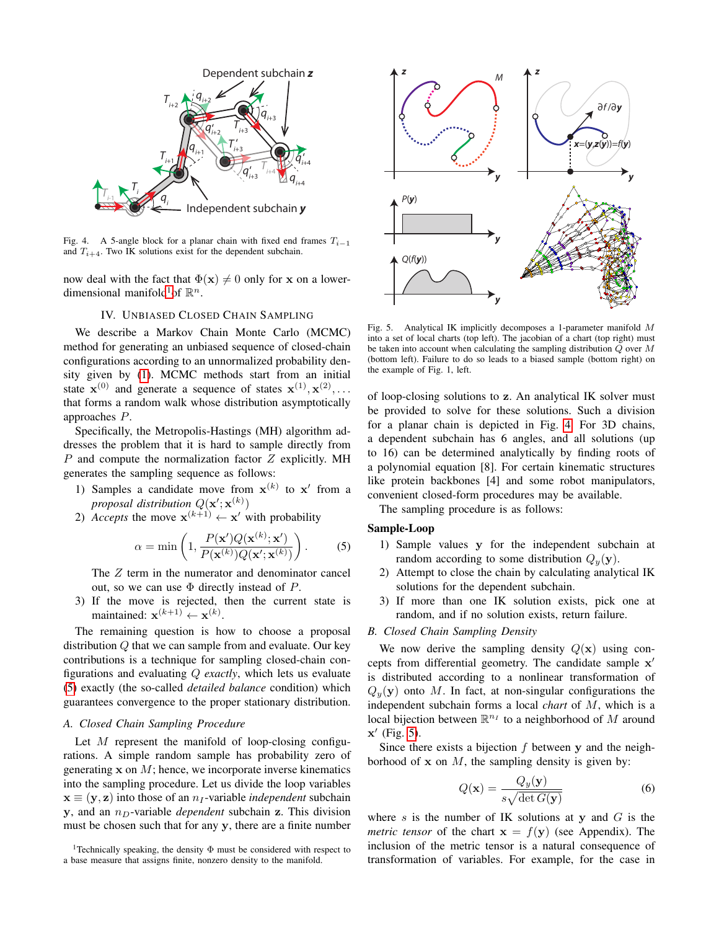

<span id="page-2-2"></span>Fig. 4. A 5-angle block for a planar chain with fixed end frames  $T_{i-1}$ and  $T_{i+4}$ . Two IK solutions exist for the dependent subchain.

now deal with the fact that  $\Phi(\mathbf{x}) \neq 0$  only for x on a lower-dimensional manifold<sup>[1](#page-2-0)</sup> of  $\mathbb{R}^n$ .

# IV. UNBIASED CLOSED CHAIN SAMPLING

<span id="page-2-4"></span>We describe a Markov Chain Monte Carlo (MCMC) method for generating an unbiased sequence of closed-chain configurations according to an unnormalized probability density given by [\(1\)](#page-1-3). MCMC methods start from an initial state  $\mathbf{x}^{(0)}$  and generate a sequence of states  $\mathbf{x}^{(1)}, \mathbf{x}^{(2)}, \ldots$ that forms a random walk whose distribution asymptotically approaches P.

Specifically, the Metropolis-Hastings (MH) algorithm addresses the problem that it is hard to sample directly from  $P$  and compute the normalization factor  $Z$  explicitly. MH generates the sampling sequence as follows:

- 1) Samples a candidate move from  $x^{(k)}$  to  $x'$  from a *proposal distribution*  $Q(\mathbf{x}'; \mathbf{x}^{(k)})$
- 2) *Accepts* the move  $\mathbf{x}^{(k+1)} \leftarrow \mathbf{x}'$  with probability

<span id="page-2-1"></span>
$$
\alpha = \min\left(1, \frac{P(\mathbf{x}')Q(\mathbf{x}^{(k)};\mathbf{x}')}{P(\mathbf{x}^{(k)})Q(\mathbf{x}';\mathbf{x}^{(k)})}\right). \tag{5}
$$

The  $Z$  term in the numerator and denominator cancel out, so we can use  $\Phi$  directly instead of  $P$ .

3) If the move is rejected, then the current state is maintained:  $\mathbf{x}^{(k+1)} \leftarrow \mathbf{x}^{(k)}$ .

The remaining question is how to choose a proposal distribution Q that we can sample from and evaluate. Our key contributions is a technique for sampling closed-chain configurations and evaluating Q *exactly*, which lets us evaluate [\(5\)](#page-2-1) exactly (the so-called *detailed balance* condition) which guarantees convergence to the proper stationary distribution.

## *A. Closed Chain Sampling Procedure*

Let  $M$  represent the manifold of loop-closing configurations. A simple random sample has probability zero of generating  $x$  on  $M$ ; hence, we incorporate inverse kinematics into the sampling procedure. Let us divide the loop variables  $x \equiv (y, z)$  into those of an  $n<sub>I</sub>$ -variable *independent* subchain y, and an  $n_D$ -variable *dependent* subchain z. This division must be chosen such that for any y, there are a finite number



<span id="page-2-3"></span>Fig. 5. Analytical IK implicitly decomposes a 1-parameter manifold M into a set of local charts (top left). The jacobian of a chart (top right) must be taken into account when calculating the sampling distribution Q over M (bottom left). Failure to do so leads to a biased sample (bottom right) on the example of Fig. 1, left.

of loop-closing solutions to z. An analytical IK solver must be provided to solve for these solutions. Such a division for a planar chain is depicted in Fig. [4.](#page-2-2) For 3D chains, a dependent subchain has 6 angles, and all solutions (up to 16) can be determined analytically by finding roots of a polynomial equation [8]. For certain kinematic structures like protein backbones [4] and some robot manipulators, convenient closed-form procedures may be available.

The sampling procedure is as follows:

# Sample-Loop

- 1) Sample values y for the independent subchain at random according to some distribution  $Q_y(\mathbf{y})$ .
- 2) Attempt to close the chain by calculating analytical IK solutions for the dependent subchain.
- 3) If more than one IK solution exists, pick one at random, and if no solution exists, return failure.

# *B. Closed Chain Sampling Density*

We now derive the sampling density  $Q(x)$  using concepts from differential geometry. The candidate sample x' is distributed according to a nonlinear transformation of  $Q_{\nu}(\mathbf{y})$  onto M. In fact, at non-singular configurations the independent subchain forms a local *chart* of M, which is a local bijection between  $\mathbb{R}^{n_I}$  to a neighborhood of M around  $x'$  (Fig. [5\)](#page-2-3).

Since there exists a bijection  $f$  between  $y$  and the neighborhood of  $x$  on  $M$ , the sampling density is given by:

$$
Q(\mathbf{x}) = \frac{Q_y(\mathbf{y})}{s\sqrt{\det G(\mathbf{y})}}\tag{6}
$$

where s is the number of IK solutions at y and  $G$  is the *metric tensor* of the chart  $x = f(y)$  (see Appendix). The inclusion of the metric tensor is a natural consequence of transformation of variables. For example, for the case in

<span id="page-2-0"></span><sup>1</sup>Technically speaking, the density Φ must be considered with respect to a base measure that assigns finite, nonzero density to the manifold.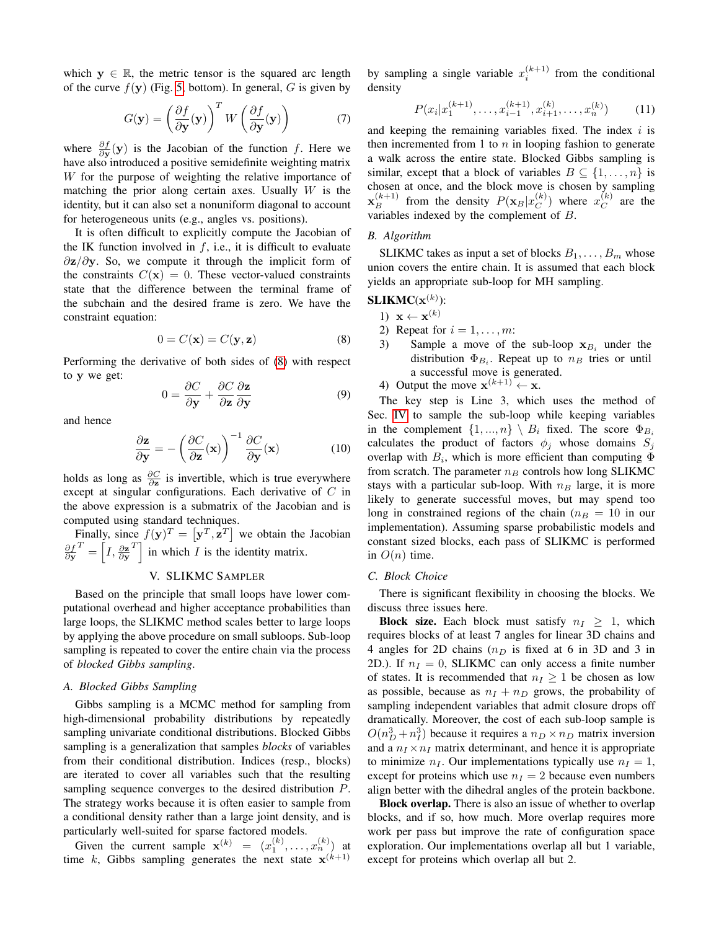which  $y \in \mathbb{R}$ , the metric tensor is the squared arc length of the curve  $f(y)$  (Fig. [5,](#page-2-3) bottom). In general, G is given by

$$
G(\mathbf{y}) = \left(\frac{\partial f}{\partial \mathbf{y}}(\mathbf{y})\right)^T W \left(\frac{\partial f}{\partial \mathbf{y}}(\mathbf{y})\right) \tag{7}
$$

where  $\frac{\partial f}{\partial y}(y)$  is the Jacobian of the function f. Here we have also introduced a positive semidefinite weighting matrix W for the purpose of weighting the relative importance of matching the prior along certain axes. Usually  $W$  is the identity, but it can also set a nonuniform diagonal to account for heterogeneous units (e.g., angles vs. positions).

It is often difficult to explicitly compute the Jacobian of the IK function involved in  $f$ , i.e., it is difficult to evaluate  $\partial$ z/∂y. So, we compute it through the implicit form of the constraints  $C(\mathbf{x}) = 0$ . These vector-valued constraints state that the difference between the terminal frame of the subchain and the desired frame is zero. We have the constraint equation:

<span id="page-3-0"></span>
$$
0 = C(\mathbf{x}) = C(\mathbf{y}, \mathbf{z})
$$
 (8)

Performing the derivative of both sides of [\(8\)](#page-3-0) with respect to y we get:

$$
0 = \frac{\partial C}{\partial y} + \frac{\partial C}{\partial z} \frac{\partial z}{\partial y}
$$
 (9)

and hence

$$
\frac{\partial \mathbf{z}}{\partial \mathbf{y}} = -\left(\frac{\partial C}{\partial \mathbf{z}}(\mathbf{x})\right)^{-1} \frac{\partial C}{\partial \mathbf{y}}(\mathbf{x}) \tag{10}
$$

holds as long as  $\frac{\partial C}{\partial \mathbf{z}}$  is invertible, which is true everywhere except at singular configurations. Each derivative of C in the above expression is a submatrix of the Jacobian and is computed using standard techniques.

Finally, since  $f(\mathbf{y})^T = [\mathbf{y}^T, \mathbf{z}^T]$  we obtain the Jacobian ∂f<br>∂y  $T = \left[ I, \frac{\partial \mathbf{z}}{\partial \mathbf{y}} \right]$  $T$  in which I is the identity matrix.

## V. SLIKMC SAMPLER

Based on the principle that small loops have lower computational overhead and higher acceptance probabilities than large loops, the SLIKMC method scales better to large loops by applying the above procedure on small subloops. Sub-loop sampling is repeated to cover the entire chain via the process of *blocked Gibbs sampling*.

# *A. Blocked Gibbs Sampling*

Gibbs sampling is a MCMC method for sampling from high-dimensional probability distributions by repeatedly sampling univariate conditional distributions. Blocked Gibbs sampling is a generalization that samples *blocks* of variables from their conditional distribution. Indices (resp., blocks) are iterated to cover all variables such that the resulting sampling sequence converges to the desired distribution P. The strategy works because it is often easier to sample from a conditional density rather than a large joint density, and is particularly well-suited for sparse factored models.

Given the current sample  $\mathbf{x}^{(k)} = (x_1^{(k)}, \dots, x_n^{(k)})$  at time k, Gibbs sampling generates the next state  $\mathbf{x}^{(k+1)}$ 

by sampling a single variable  $x_i^{(k+1)}$  from the conditional density

$$
P(x_i|x_1^{(k+1)},\ldots,x_{i-1}^{(k+1)},x_{i+1}^{(k)},\ldots,x_n^{(k)})\qquad(11)
$$

and keeping the remaining variables fixed. The index  $i$  is then incremented from 1 to  $n$  in looping fashion to generate a walk across the entire state. Blocked Gibbs sampling is similar, except that a block of variables  $B \subseteq \{1, \ldots, n\}$  is chosen at once, and the block move is chosen by sampling  $\mathbf{x}_{B}^{(k+1)}$  from the density  $P(\mathbf{x}_{B} | x_{C}^{(k)})$  $\binom{k}{C}$  where  $x_C^{(k)}$  $C^{k}$  are the variables indexed by the complement of B.

#### *B. Algorithm*

SLIKMC takes as input a set of blocks  $B_1, \ldots, B_m$  whose union covers the entire chain. It is assumed that each block yields an appropriate sub-loop for MH sampling.

# $\mathbf{SLIKMC}(\mathbf{x}^{(k)})$ :

- 1)  $\mathbf{x} \leftarrow \mathbf{x}^{(k)}$
- 2) Repeat for  $i = 1, \ldots, m$ :
- 3) Sample a move of the sub-loop  $x_{B_i}$  under the distribution  $\Phi_{B_i}$ . Repeat up to  $n_B$  tries or until a successful move is generated.

4) Output the move  $\mathbf{x}^{(k+1)} \leftarrow \mathbf{x}$ .

The key step is Line 3, which uses the method of Sec. [IV](#page-2-4) to sample the sub-loop while keeping variables in the complement  $\{1, ..., n\} \setminus B_i$  fixed. The score  $\Phi_{B_i}$ calculates the product of factors  $\phi_i$  whose domains  $S_i$ overlap with  $B_i$ , which is more efficient than computing  $\Phi$ from scratch. The parameter  $n_B$  controls how long SLIKMC stays with a particular sub-loop. With  $n_B$  large, it is more likely to generate successful moves, but may spend too long in constrained regions of the chain ( $n_B = 10$  in our implementation). Assuming sparse probabilistic models and constant sized blocks, each pass of SLIKMC is performed in  $O(n)$  time.

#### *C. Block Choice*

There is significant flexibility in choosing the blocks. We discuss three issues here.

**Block size.** Each block must satisfy  $n_I > 1$ , which requires blocks of at least 7 angles for linear 3D chains and 4 angles for 2D chains  $(n_D)$  is fixed at 6 in 3D and 3 in 2D.). If  $n_I = 0$ , SLIKMC can only access a finite number of states. It is recommended that  $n_I \geq 1$  be chosen as low as possible, because as  $n_I + n_D$  grows, the probability of sampling independent variables that admit closure drops off dramatically. Moreover, the cost of each sub-loop sample is  $O(n_D^3 + n_I^3)$  because it requires a  $n_D \times n_D$  matrix inversion and a  $n_I \times n_I$  matrix determinant, and hence it is appropriate to minimize  $n_I$ . Our implementations typically use  $n_I = 1$ , except for proteins which use  $n_I = 2$  because even numbers align better with the dihedral angles of the protein backbone.

Block overlap. There is also an issue of whether to overlap blocks, and if so, how much. More overlap requires more work per pass but improve the rate of configuration space exploration. Our implementations overlap all but 1 variable, except for proteins which overlap all but 2.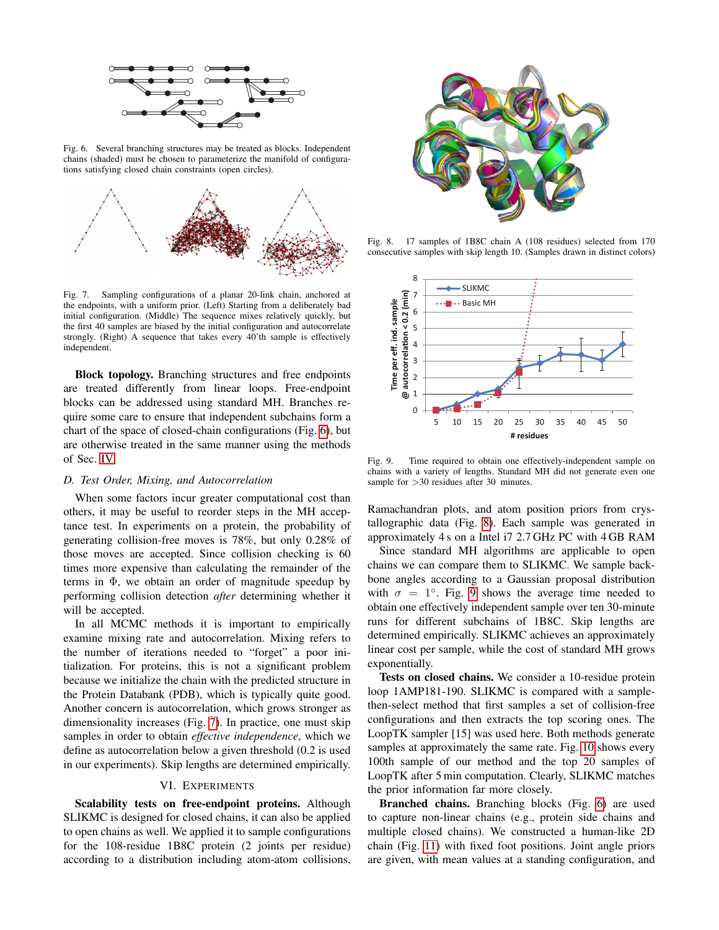

<span id="page-4-0"></span>Fig. 6. Several branching structures may be treated as blocks. Independent chains (shaded) must be chosen to parameterize the manifold of configurations satisfying closed chain constraints (open circles).



<span id="page-4-1"></span>Fig. 7. Sampling configurations of a planar 20-link chain, anchored at the endpoints, with a uniform prior. (Left) Starting from a deliberately bad initial configuration. (Middle) The sequence mixes relatively quickly, but the first 40 samples are biased by the initial configuration and autocorrelate strongly. (Right) A sequence that takes every 40'th sample is effectively independent.

Block topology. Branching structures and free endpoints are treated differently from linear loops. Free-endpoint blocks can be addressed using standard MH. Branches require some care to ensure that independent subchains form a chart of the space of closed-chain configurations (Fig. [6\)](#page-4-0), but are otherwise treated in the same manner using the methods of Sec. [IV.](#page-2-4)

## *D. Test Order, Mixing, and Autocorrelation*

When some factors incur greater computational cost than others, it may be useful to reorder steps in the MH acceptance test. In experiments on a protein, the probability of generating collision-free moves is 78%, but only 0.28% of those moves are accepted. Since collision checking is 60 times more expensive than calculating the remainder of the terms in  $\Phi$ , we obtain an order of magnitude speedup by performing collision detection *after* determining whether it will be accepted.

In all MCMC methods it is important to empirically examine mixing rate and autocorrelation. Mixing refers to the number of iterations needed to "forget" a poor initialization. For proteins, this is not a significant problem because we initialize the chain with the predicted structure in the Protein Databank (PDB), which is typically quite good. Another concern is autocorrelation, which grows stronger as dimensionality increases (Fig. [7\)](#page-4-1). In practice, one must skip samples in order to obtain *effective independence*, which we define as autocorrelation below a given threshold (0.2 is used in our experiments). Skip lengths are determined empirically.

## VI. EXPERIMENTS

Scalability tests on free-endpoint proteins. Although SLIKMC is designed for closed chains, it can also be applied to open chains as well. We applied it to sample configurations for the 108-residue 1B8C protein (2 joints per residue) according to a distribution including atom-atom collisions,



<span id="page-4-2"></span>Fig. 8. 17 samples of 1B8C chain A (108 residues) selected from 170 consecutive samples with skip length 10. (Samples drawn in distinct colors)



<span id="page-4-3"></span>Fig. 9. Time required to obtain one effectively-independent sample on chains with a variety of lengths. Standard MH did not generate even one sample for  $>30$  residues after 30 minutes.

Ramachandran plots, and atom position priors from crystallographic data (Fig. [8\)](#page-4-2). Each sample was generated in approximately 4 s on a Intel i7 2.7 GHz PC with 4 GB RAM

Since standard MH algorithms are applicable to open chains we can compare them to SLIKMC. We sample backbone angles according to a Gaussian proposal distribution with  $\sigma = 1^\circ$ . Fig. [9](#page-4-3) shows the average time needed to obtain one effectively independent sample over ten 30-minute runs for different subchains of 1B8C. Skip lengths are determined empirically. SLIKMC achieves an approximately linear cost per sample, while the cost of standard MH grows exponentially.

Tests on closed chains. We consider a 10-residue protein loop 1AMP181-190. SLIKMC is compared with a samplethen-select method that first samples a set of collision-free configurations and then extracts the top scoring ones. The LoopTK sampler [15] was used here. Both methods generate samples at approximately the same rate. Fig. [10](#page-5-0) shows every 100th sample of our method and the top 20 samples of LoopTK after 5 min computation. Clearly, SLIKMC matches the prior information far more closely.

Branched chains. Branching blocks (Fig. [6\)](#page-4-0) are used to capture non-linear chains (e.g., protein side chains and multiple closed chains). We constructed a human-like 2D chain (Fig. [11\)](#page-5-1) with fixed foot positions. Joint angle priors are given, with mean values at a standing configuration, and